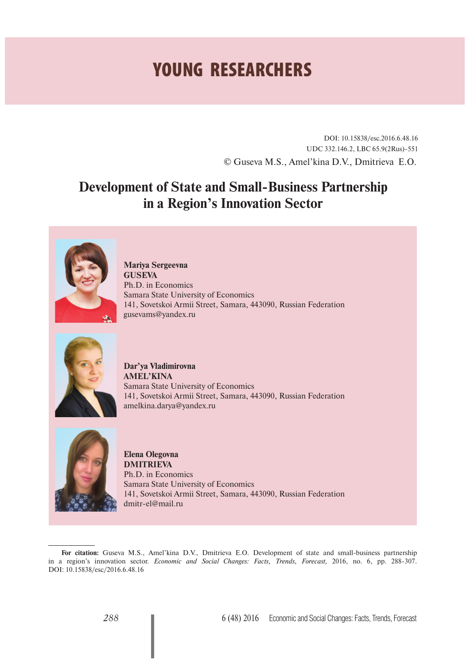## **YOUNG RESEARCHERS**

DOI: 10.15838/esc.2016.6.48.16 UDC 332.146.2, LBC 65.9(2Rus)-551 © Guseva M.S., Amel'kina D.V., Dmitrieva E.O.

## **Development of State and Small-Business Partnership in a Region's Innovation Sector**



**Mariya Sergeevna GUSEVA** Ph.D. in Economics Samara State University of Economics 141, Sovetskoi Armii Street, Samara, 443090, Russian Federation gusevams@yandex.ru



**Dar'ya Vladimirovna AMEL'KINA** Samara State University of Economics 141, Sovetskoi Armii Street, Samara, 443090, Russian Federation amelkina.darya@yandex.ru



**Elena Olegovna DMITRIEVA**  Ph.D. in Economics Samara State University of Economics 141, Sovetskoi Armii Street, Samara, 443090, Russian Federation dmitr-el@mail.ru

For citation: Guseva M.S., Amel'kina D.V., Dmitrieva E.O. Development of state and small-business partnership in a region's innovation sector. *Economic and Social Changes: Facts, Trends, Forecast,* 2016, no. 6, pp. 288-307. DOI: 10.15838/esc/2016.6.48.16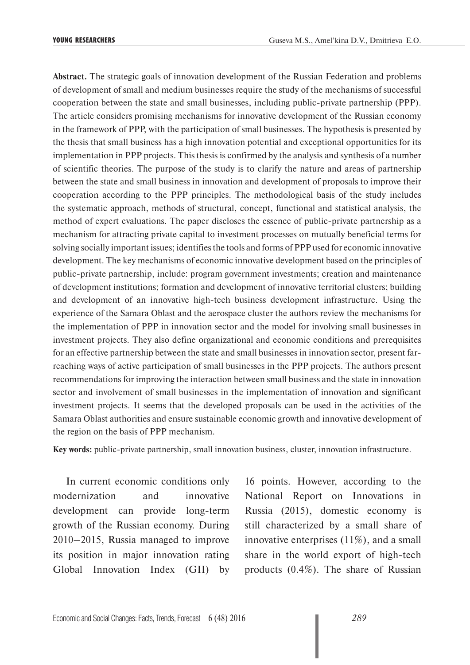**Abstract.** The strategic goals of innovation development of the Russian Federation and problems of development of small and medium businesses require the study of the mechanisms of successful cooperation between the state and small businesses, including public-private partnership (PPP). The article considers promising mechanisms for innovative development of the Russian economy in the framework of PPP, with the participation of small businesses. The hypothesis is presented by the thesis that small business has a high innovation potential and exceptional opportunities for its implementation in PPP projects. This thesis is confirmed by the analysis and synthesis of a number of scientific theories. The purpose of the study is to clarify the nature and areas of partnership between the state and small business in innovation and development of proposals to improve their cooperation according to the PPP principles. The methodological basis of the study includes the systematic approach, methods of structural, concept, functional and statistical analysis, the method of expert evaluations. The paper discloses the essence of public-private partnership as a mechanism for attracting private capital to investment processes on mutually beneficial terms for solving socially important issues; identifies the tools and forms of PPP used for economic innovative development. The key mechanisms of economic innovative development based on the principles of public-private partnership, include: program government investments; creation and maintenance of development institutions; formation and development of innovative territorial clusters; building and development of an innovative high-tech business development infrastructure. Using the experience of the Samara Oblast and the aerospace cluster the authors review the mechanisms for the implementation of PPP in innovation sector and the model for involving small businesses in investment projects. They also define organizational and economic conditions and prerequisites for an effective partnership between the state and small businesses in innovation sector, present farreaching ways of active participation of small businesses in the PPP projects. The authors present recommendations for improving the interaction between small business and the state in innovation sector and involvement of small businesses in the implementation of innovation and significant investment projects. It seems that the developed proposals can be used in the activities of the Samara Oblast authorities and ensure sustainable economic growth and innovative development of the region on the basis of PPP mechanism.

**Key words:** public-private partnership, small innovation business, cluster, innovation infrastructure.

In current economic conditions only modernization and innovative development can provide long-term growth of the Russian economy. During 2010–2015, Russia managed to improve its position in major innovation rating Global Innovation Index (GII) by

16 points. However, according to the National Report on Innovations in Russia (2015), domestic economy is still characterized by a small share of innovative enterprises (11%), and a small share in the world export of high-tech products (0.4%). The share of Russian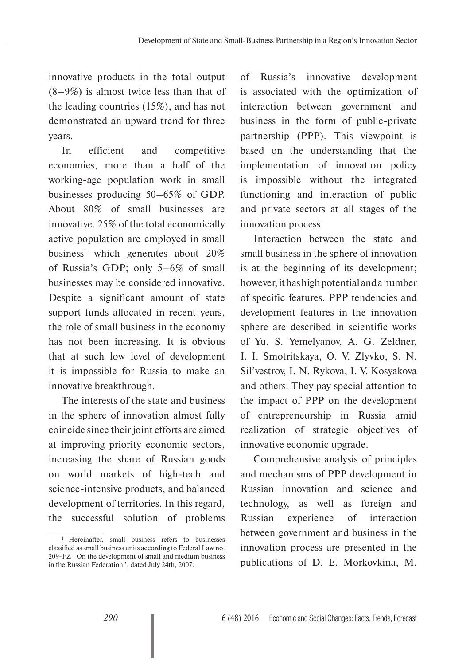innovative products in the total output (8–9%) is almost twice less than that of the leading countries (15%), and has not demonstrated an upward trend for three years.

In efficient and competitive economies, more than a half of the working-age population work in small businesses producing 50–65% of GDP. About 80% of small businesses are innovative. 25% of the total economically active population are employed in small business<sup>1</sup> which generates about  $20\%$ of Russia's GDP; only 5–6% of small businesses may be considered innovative. Despite a significant amount of state support funds allocated in recent years, the role of small business in the economy has not been increasing. It is obvious that at such low level of development it is impossible for Russia to make an innovative breakthrough.

The interests of the state and business in the sphere of innovation almost fully coincide since their joint efforts are aimed at improving priority economic sectors, increasing the share of Russian goods on world markets of high-tech and science-intensive products, and balanced development of territories. In this regard, the successful solution of problems

of Russia's innovative development is associated with the optimization of interaction between government and business in the form of public-private partnership (PPP). This viewpoint is based on the understanding that the implementation of innovation policy is impossible without the integrated functioning and interaction of public and private sectors at all stages of the innovation process.

Interaction between the state and small business in the sphere of innovation is at the beginning of its development; however, it has high potential and a number of specific features. PPP tendencies and development features in the innovation sphere are described in scientific works of Yu. S. Yemelyanov, A. G. Zeldner, I. I. Smotritskaya, O. V. Zlyvko, S. N. Sil'vestrov, I. N. Rykova, I. V. Kosyakova and others. They pay special attention to the impact of PPP on the development of entrepreneurship in Russia amid realization of strategic objectives of innovative economic upgrade.

Comprehensive analysis of principles and mechanisms of PPP development in Russian innovation and science and technology, as well as foreign and Russian experience of interaction between government and business in the innovation process are presented in the publications of D. E. Morkovkina, M.

<sup>&</sup>lt;sup>1</sup> Hereinafter, small business refers to businesses classified as small business units according to Federal Law no. 209-FZ "On the development of small and medium business in the Russian Federation", dated July 24th, 2007.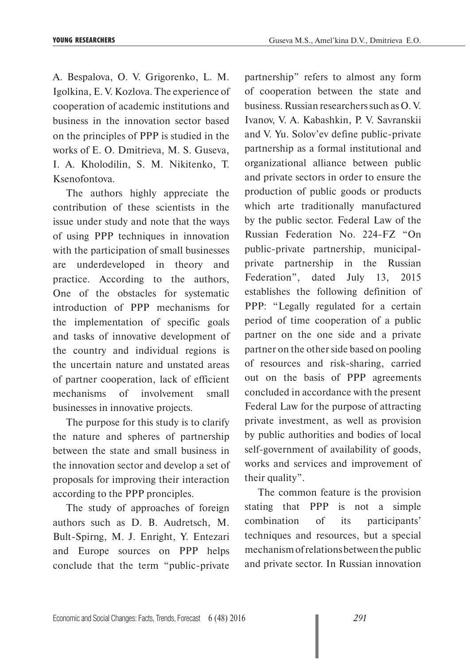A. Bespalova, O. V. Grigorenko, L. M. Igolkina, E. V. Kozlova. The experience of cooperation of academic institutions and business in the innovation sector based on the principles of PPP is studied in the works of E. O. Dmitrieva, M. S. Guseva, I. A. Kholodilin, S. M. Nikitenko, T. Ksenofontova.

The authors highly appreciate the contribution of these scientists in the issue under study and note that the ways of using PPP techniques in innovation with the participation of small businesses are underdeveloped in theory and practice. According to the authors, One of the obstacles for systematic introduction of PPP mechanisms for the implementation of specific goals and tasks of innovative development of the country and individual regions is the uncertain nature and unstated areas of partner cooperation, lack of efficient mechanisms of involvement small businesses in innovative projects.

The purpose for this study is to clarify the nature and spheres of partnership between the state and small business in the innovation sector and develop a set of proposals for improving their interaction according to the PPP pronciples.

The study of approaches of foreign authors such as D. B. Audretsch, M. Bult-Spirng, M. J. Enright, Y. Entezari and Europe sources on PPP helps conclude that the term "public-private

partnership" refers to almost any form of cooperation between the state and business. Russian researchers such as O. V. Ivanov, V. A. Kabashkin, P. V. Savranskii and V. Yu. Solov'ev define public-private partnership as a formal institutional and organizational alliance between public and private sectors in order to ensure the production of public goods or products which arte traditionally manufactured by the public sector. Federal Law of the Russian Federation No. 224-FZ "On public-private partnership, municipalprivate partnership in the Russian Federation", dated July 13, 2015 establishes the following definition of PPP: "Legally regulated for a certain period of time cooperation of a public partner on the one side and a private partner on the other side based on pooling of resources and risk-sharing, carried out on the basis of PPP agreements concluded in accordance with the present Federal Law for the purpose of attracting private investment, as well as provision by public authorities and bodies of local self-government of availability of goods, works and services and improvement of their quality".

The common feature is the provision stating that PPP is not a simple combination of its participants' techniques and resources, but a special mechanism of relations between the public and private sector. In Russian innovation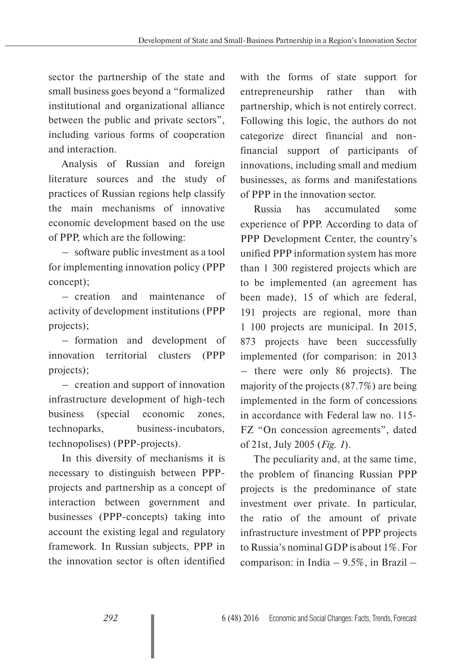sector the partnership of the state and small business goes beyond a "formalized institutional and organizational alliance between the public and private sectors", including various forms of cooperation and interaction.

Analysis of Russian and foreign literature sources and the study of practices of Russian regions help classify the main mechanisms of innovative economic development based on the use of PPP, which are the following:

– software public investment as a tool for implementing innovation policy (PPP concept);

– creation and maintenance of activity of development institutions (PPP projects);

– formation and development of innovation territorial clusters (PPP projects);

– creation and support of innovation infrastructure development of high-tech business (special economic zones, technoparks, business-incubators, technopolises) (PPP-projects).

In this diversity of mechanisms it is necessary to distinguish between PPPprojects and partnership as a concept of interaction between government and businesses (PPP-concepts) taking into account the existing legal and regulatory framework. In Russian subjects, PPP in the innovation sector is often identified

with the forms of state support for entrepreneurship rather than with partnership, which is not entirely correct. Following this logic, the authors do not categorize direct financial and nonfinancial support of participants of innovations, including small and medium businesses, as forms and manifestations of PPP in the innovation sector.

Russia has accumulated some experience of PPP. According to data of PPP Development Center, the country's unified PPP information system has more than 1 300 registered projects which are to be implemented (an agreement has been made), 15 of which are federal, 191 projects are regional, more than 1 100 projects are municipal. In 2015, 873 projects have been successfully implemented (for comparison: in 2013 – there were only 86 projects). The majority of the projects (87.7%) are being implemented in the form of concessions in accordance with Federal law no. 115- FZ "On concession agreements", dated of 21st, July 2005 (*Fig. 1*).

The peculiarity and, at the same time, the problem of financing Russian PPP projects is the predominance of state investment over private. In particular, the ratio of the amount of private infrastructure investment of PPP projects to Russia's nominal GDP is about 1%. For comparison: in India – 9.5%, in Brazil –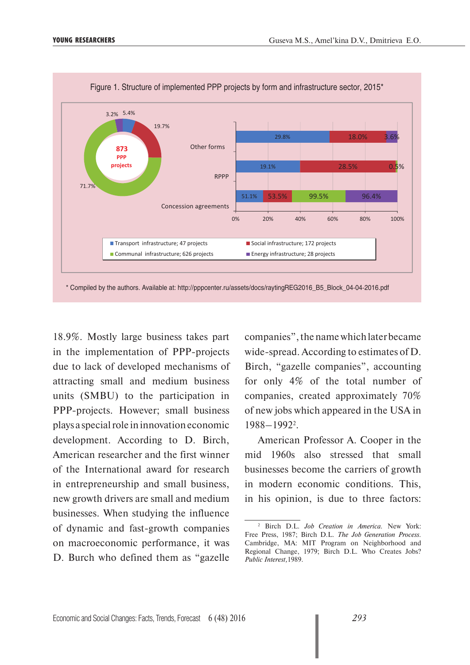

18.9%. Mostly large business takes part in the implementation of PPP-projects due to lack of developed mechanisms of attracting small and medium business units (SMBU) to the participation in PPP-projects. However; small business plays a special role in innovation economic development. According to D. Birch, American researcher and the first winner of the International award for research in entrepreneurship and small business, new growth drivers are small and medium businesses. When studying the influence of dynamic and fast-growth companies on macroeconomic performance, it was D. Burch who defined them as "gazelle

companies", the name which later became wide-spread. According to estimates of D. Birch, "gazelle companies", accounting for only 4% of the total number of companies, created approximately 70% of new jobs which appeared in the USA in 1988–19922 .

American Professor A. Cooper in the mid 1960s also stressed that small businesses become the carriers of growth in modern economic conditions. This, in his opinion, is due to three factors:

<sup>2</sup> Birch D.L. *Job Creation in America.* New York: Free Press, 1987; Birch D.L. *The Job Generation Process.*  Cambridge, MA: MIT Program on Neighborhood and Regional Change, 1979; Birch D.L. Who Creates Jobs? *Public Interest,*1989.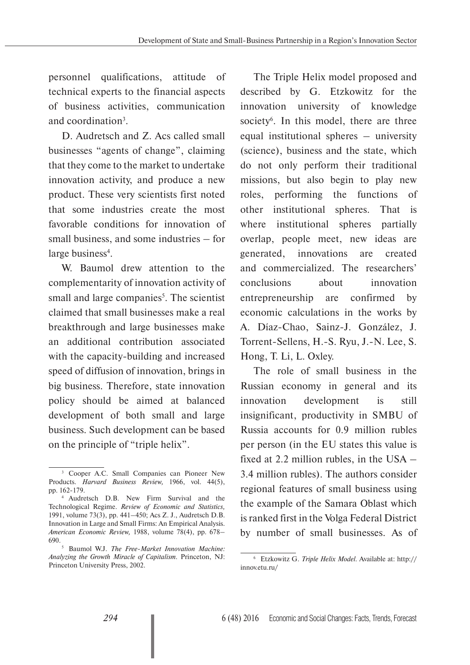personnel qualifications, attitude of technical experts to the financial aspects of business activities, communication and coordination<sup>3</sup>.

D. Audretsch and Z. Acs called small businesses "agents of change", claiming that they come to the market to undertake innovation activity, and produce a new product. These very scientists first noted that some industries create the most favorable conditions for innovation of small business, and some industries – for large business<sup>4</sup>.

W. Baumol drew attention to the complementarity of innovation activity of small and large companies<sup>5</sup>. The scientist claimed that small businesses make a real breakthrough and large businesses make an additional contribution associated with the capacity-building and increased speed of diffusion of innovation, brings in big business. Therefore, state innovation policy should be aimed at balanced development of both small and large business. Such development can be based on the principle of "triple helix".

The Triple Helix model proposed and described by G. Etzkowitz for the innovation university of knowledge society<sup>6</sup>. In this model, there are three equal institutional spheres – university (science), business and the state, which do not only perform their traditional missions, but also begin to play new roles, performing the functions of other institutional spheres. That is where institutional spheres partially overlap, people meet, new ideas are generated, innovations are created and commercialized. The researchers' conclusions about innovation entrepreneurship are confirmed by economic calculations in the works by A. Díaz-Chao, Sainz-J. González, J. Torrent-Sellens, H.-S. Ryu, J.-N. Lee, S. Hong, T. Li, L. Oxley.

The role of small business in the Russian economy in general and its innovation development is still insignificant, productivity in SMBU of Russia accounts for 0.9 million rubles per person (in the EU states this value is fixed at 2.2 million rubles, in the USA – 3.4 million rubles). The authors consider regional features of small business using the example of the Samara Oblast which is ranked first in the Volga Federal District by number of small businesses. As of

<sup>3</sup> Cooper A.C. Small Companies can Pioneer New Products. *Harvard Business Review,* 1966, vol. 44(5), pp. 162-179.

<sup>4</sup> Audretsch D.B. New Firm Survival and the Technological Regime. *Review of Economic and Statistics,*  1991, volume 73(3), pp. 441–450; Acs Z. J., Audretsch D.B. Innovation in Large and Small Firms: An Empirical Analysis. *American Economic Review,* 1988, volume 78(4), pp. 678– 690.

<sup>5</sup> Baumol W.J. *The Free-Market Innovation Machine: Analyzing the Growth Miracle of Capitalism.* Princeton, NJ: Princeton University Press, 2002.

<sup>6</sup> Etzkowitz G. *Triple Helix Model.* Available at: http:// innov.etu.ru/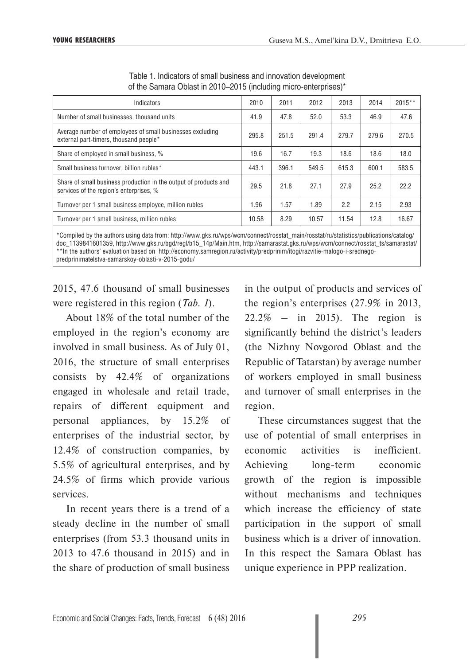| Indicators                                                                                                  | 2010  | 2011  | 2012  | 2013  | 2014  | $2015**$ |
|-------------------------------------------------------------------------------------------------------------|-------|-------|-------|-------|-------|----------|
| Number of small businesses, thousand units                                                                  | 41.9  | 47.8  | 52.0  | 53.3  | 46.9  | 47.6     |
| Average number of employees of small businesses excluding<br>external part-timers, thousand people*         | 295.8 | 251.5 | 291.4 | 279.7 | 279.6 | 270.5    |
| Share of employed in small business, %                                                                      | 19.6  | 16.7  | 19.3  | 18.6  | 18.6  | 18.0     |
| Small business turnover, billion rubles*                                                                    | 443.1 | 396.1 | 549.5 | 615.3 | 600.1 | 583.5    |
| Share of small business production in the output of products and<br>services of the region's enterprises, % | 29.5  | 21.8  | 27.1  | 27.9  | 25.2  | 22.2     |
| Turnover per 1 small business employee, million rubles                                                      | 1.96  | 1.57  | 1.89  | 2.2   | 2.15  | 2.93     |
| Turnover per 1 small business, million rubles                                                               | 10.58 | 8.29  | 10.57 | 11.54 | 12.8  | 16.67    |
|                                                                                                             |       |       |       |       |       |          |

Table 1. Indicators of small business and innovation development of the Samara Oblast in 2010–2015 (including micro-enterprises)\*

\*Compiled by the authors using data from: http://www.gks.ru/wps/wcm/connect/rosstat\_main/rosstat/ru/statistics/publications/catalog/ doc\_1139841601359, http://www.gks.ru/bgd/regl/b15\_14p/Main.htm, http://samarastat.gks.ru/wps/wcm/connect/rosstat\_ts/samarastat/ \*\*In the authors' evaluation based on http://economy.samregion.ru/activity/predprinim/itogi/razvitie-malogo-i-srednegopredprinimatelstva-samarskoy-oblasti-v-2015-godu/

2015, 47.6 thousand of small businesses were registered in this region (*Tab. 1*).

About 18% of the total number of the employed in the region's economy are involved in small business. As of July 01, 2016, the structure of small enterprises consists by 42.4% of organizations engaged in wholesale and retail trade, repairs of different equipment and personal appliances, by 15.2% of enterprises of the industrial sector, by 12.4% of construction companies, by 5.5% of agricultural enterprises, and by 24.5% of firms which provide various services.

In recent years there is a trend of a steady decline in the number of small enterprises (from 53.3 thousand units in 2013 to 47.6 thousand in 2015) and in the share of production of small business

in the output of products and services of the region's enterprises (27.9% in 2013, 22.2% – in 2015). The region is significantly behind the district's leaders (the Nizhny Novgorod Oblast and the Republic of Tatarstan) by average number of workers employed in small business and turnover of small enterprises in the region.

These circumstances suggest that the use of potential of small enterprises in economic activities is inefficient. Achieving long-term economic growth of the region is impossible without mechanisms and techniques which increase the efficiency of state participation in the support of small business which is a driver of innovation. In this respect the Samara Oblast has unique experience in PPP realization.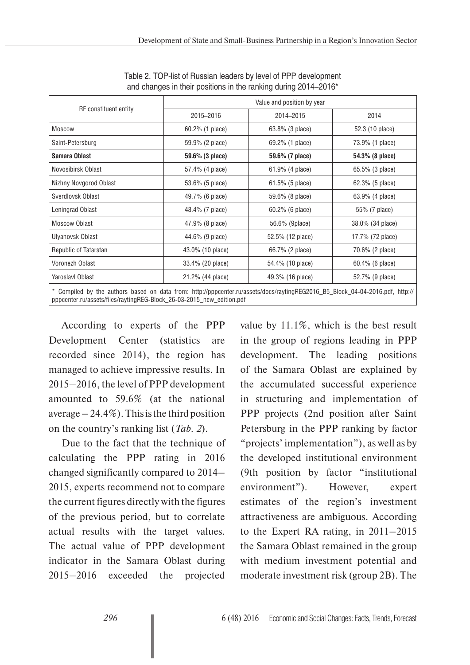| <b>RF</b> constituent entity                                                                                                  | Value and position by year |                    |                  |  |  |  |
|-------------------------------------------------------------------------------------------------------------------------------|----------------------------|--------------------|------------------|--|--|--|
|                                                                                                                               | 2015-2016                  | 2014-2015          | 2014             |  |  |  |
| <b>Moscow</b>                                                                                                                 | 60.2% (1 place)            | 63.8% (3 place)    | 52.3 (10 place)  |  |  |  |
| Saint-Petersburg                                                                                                              | 59.9% (2 place)            | 69.2% (1 place)    | 73.9% (1 place)  |  |  |  |
| Samara Oblast                                                                                                                 | 59.6% (3 place)            | 59.6% (7 place)    | 54.3% (8 place)  |  |  |  |
| Novosibirsk Oblast                                                                                                            | 57.4% (4 place)            | 61.9% (4 place)    | 65.5% (3 place)  |  |  |  |
| Nizhny Novgorod Oblast                                                                                                        | 53.6% (5 place)            | $61.5\%$ (5 place) | 62.3% (5 place)  |  |  |  |
| Sverdlovsk Oblast                                                                                                             | 49.7% (6 place)            | 59.6% (8 place)    | 63.9% (4 place)  |  |  |  |
| Leningrad Oblast                                                                                                              | 48.4% (7 place)            | 60.2% (6 place)    | 55% (7 place)    |  |  |  |
| Moscow Oblast                                                                                                                 | 47.9% (8 place)            | 56.6% (9place)     | 38.0% (34 place) |  |  |  |
| Ulyanovsk Oblast                                                                                                              | 44.6% (9 place)            | 52.5% (12 place)   | 17.7% (72 place) |  |  |  |
| Republic of Tatarstan                                                                                                         | 43.0% (10 place)           | 66.7% (2 place)    | 70.6% (2 place)  |  |  |  |
| Voronezh Oblast                                                                                                               | 33.4% (20 place)           | 54.4% (10 place)   | 60.4% (6 place)  |  |  |  |
| Yaroslavl Oblast                                                                                                              | 21.2% (44 place)           | 49.3% (16 place)   | 52.7% (9 place)  |  |  |  |
| * Compiled by the authors based on data from: http://pppcenter.ru/assets/docs/raytingREG2016_B5_Block_04-04-2016.pdf, http:// |                            |                    |                  |  |  |  |

Table 2. TOP-list of Russian leaders by level of PPP development and changes in their positions in the ranking during 2014–2016\*

According to experts of the PPP Development Center (statistics are recorded since 2014), the region has managed to achieve impressive results. In 2015–2016, the level of PPP development amounted to 59.6% (at the national average  $-24.4\%$ ). This is the third position on the country's ranking list (*Tab. 2*).

pppcenter.ru/assets/files/raytingREG-Block\_26-03-2015\_new\_edition.pdf

Due to the fact that the technique of calculating the PPP rating in 2016 changed significantly compared to 2014– 2015, experts recommend not to compare the current figures directly with the figures of the previous period, but to correlate actual results with the target values. The actual value of PPP development indicator in the Samara Oblast during 2015–2016 exceeded the projected

value by 11.1%, which is the best result in the group of regions leading in PPP development. The leading positions of the Samara Oblast are explained by the accumulated successful experience in structuring and implementation of PPP projects (2nd position after Saint Petersburg in the PPP ranking by factor "projects' implementation"), as well as by the developed institutional environment (9th position by factor "institutional environment"). However, expert estimates of the region's investment attractiveness are ambiguous. According to the Expert RA rating, in 2011–2015 the Samara Oblast remained in the group with medium investment potential and moderate investment risk (group 2B). The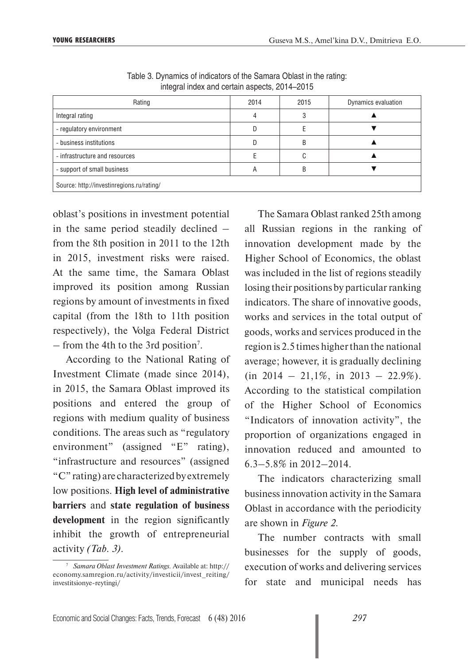| Rating                                    | 2014 | 2015 | Dynamics evaluation |  |  |  |
|-------------------------------------------|------|------|---------------------|--|--|--|
| Integral rating                           |      |      |                     |  |  |  |
| - regulatory environment                  |      |      |                     |  |  |  |
| - business institutions                   |      | D    |                     |  |  |  |
| - infrastructure and resources            |      |      |                     |  |  |  |
| - support of small business               | А    |      |                     |  |  |  |
| Source: http://investinregions.ru/rating/ |      |      |                     |  |  |  |

Table 3. Dynamics of indicators of the Samara Oblast in the rating: integral index and certain aspects, 2014–2015

oblast's positions in investment potential in the same period steadily declined – from the 8th position in 2011 to the 12th in 2015, investment risks were raised. At the same time, the Samara Oblast improved its position among Russian regions by amount of investments in fixed capital (from the 18th to 11th position respectively), the Volga Federal District – from the 4th to the 3rd position<sup>7</sup>.

According to the National Rating of Investment Climate (made since 2014), in 2015, the Samara Oblast improved its positions and entered the group of regions with medium quality of business conditions. The areas such as "regulatory environment" (assigned "E" rating), "infrastructure and resources" (assigned "C" rating) are characterized by extremely low positions. **High level of administrative barriers** and **state regulation of business development** in the region significantly inhibit the growth of entrepreneurial activity *(Tab. 3).* 

The Samara Oblast ranked 25th among all Russian regions in the ranking of innovation development made by the Higher School of Economics, the oblast was included in the list of regions steadily losing their positions by particular ranking indicators. The share of innovative goods, works and services in the total output of goods, works and services produced in the region is 2.5 times higher than the national average; however, it is gradually declining  $(in 2014 - 21,1\%, in 2013 - 22.9\%).$ According to the statistical compilation of the Higher School of Economics "Indicators of innovation activity", the proportion of organizations engaged in innovation reduced and amounted to 6.3–5.8% in 2012–2014.

The indicators characterizing small business innovation activity in the Samara Oblast in accordance with the periodicity are shown in *Figure 2*.

The number contracts with small businesses for the supply of goods, execution of works and delivering services for state and municipal needs has

<sup>7</sup> *Samara Oblast Investment Ratings.* Available at: http:// economy.samregion.ru/activity/investicii/invest\_reiting/ investitsionye-reytingi/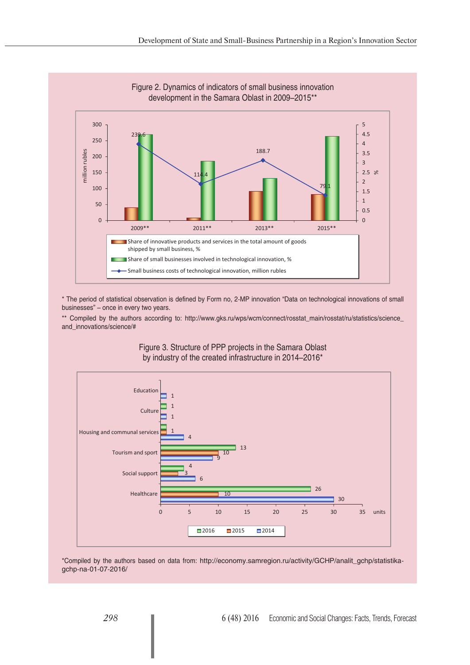

\* The period of statistical observation is defined by Form no, 2-MP innovation "Data on technological innovations of small businesses" – once in every two years.

\*\* Compiled by the authors according to: http://www.gks.ru/wps/wcm/connect/rosstat\_main/rosstat/ru/statistics/science\_ and\_innovations/science/#



Figure 3. Structure of PPP projects in the Samara Oblast by industry of the created infrastructure in 2014–2016\*

\*Compiled by the authors based on data from: http://economy.samregion.ru/activity/GCHP/analit\_gchp/statistikagchp-na-01-07-2016/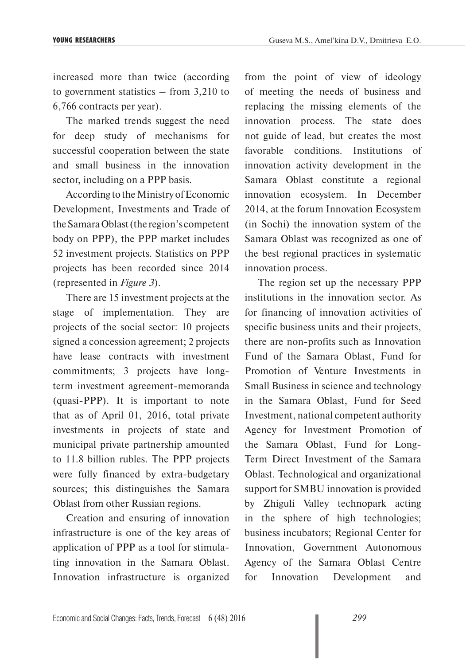increased more than twice (according to government statistics – from 3,210 to 6,766 contracts per year).

The marked trends suggest the need for deep study of mechanisms for successful cooperation between the state and small business in the innovation sector, including on a PPP basis.

According to the Ministry of Economic Development, Investments and Trade of the Samara Oblast (the region's competent body on PPP), the PPP market includes 52 investment projects. Statistics on PPP projects has been recorded since 2014 (represented in *Figure 3*).

There are 15 investment projects at the stage of implementation. They are projects of the social sector: 10 projects signed a concession agreement; 2 projects have lease contracts with investment commitments; 3 projects have longterm investment agreement-memoranda (quasi-PPP). It is important to note that as of April 01, 2016, total private investments in projects of state and municipal private partnership amounted to 11.8 billion rubles. The PPP projects were fully financed by extra-budgetary sources; this distinguishes the Samara Oblast from other Russian regions.

Creation and ensuring of innovation infrastructure is one of the key areas of application of PPP as a tool for stimulating innovation in the Samara Oblast. Innovation infrastructure is organized

from the point of view of ideology of meeting the needs of business and replacing the missing elements of the innovation process. The state does not guide of lead, but creates the most favorable conditions. Institutions of innovation activity development in the Samara Oblast constitute a regional innovation ecosystem. In December 2014, at the forum Innovation Ecosystem (in Sochi) the innovation system of the Samara Oblast was recognized as one of the best regional practices in systematic innovation process.

The region set up the necessary PPP institutions in the innovation sector. As for financing of innovation activities of specific business units and their projects, there are non-profits such as Innovation Fund of the Samara Oblast, Fund for Promotion of Venture Investments in Small Business in science and technology in the Samara Oblast, Fund for Seed Investment, national competent authority Agency for Investment Promotion of the Samara Oblast, Fund for Long-Term Direct Investment of the Samara Oblast. Technological and organizational support for SMBU innovation is provided by Zhiguli Valley technopark acting in the sphere of high technologies; business incubators; Regional Center for Innovation, Government Autonomous Agency of the Samara Oblast Centre for Innovation Development and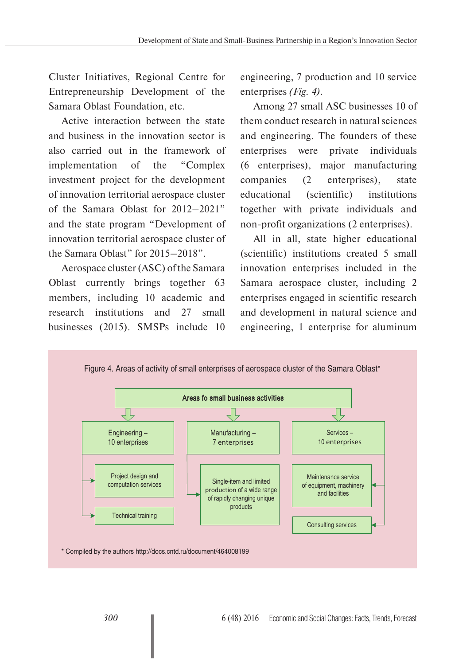Cluster Initiatives, Regional Centre for Entrepreneurship Development of the Samara Oblast Foundation, etc.

Active interaction between the state and business in the innovation sector is also carried out in the framework of implementation of the "Complex investment project for the development of innovation territorial aerospace cluster of the Samara Oblast for 2012–2021" and the state program "Development of innovation territorial aerospace cluster of the Samara Oblast" for 2015–2018".

Aerospace cluster (ASC) of the Samara Oblast currently brings together 63 members, including 10 academic and research institutions and 27 small businesses (2015). SMSPs include 10 engineering, 7 production and 10 service enterprises *(Fig. 4).*

Among 27 small ASC businesses 10 of them conduct research in natural sciences and engineering. The founders of these enterprises were private individuals (6 enterprises), major manufacturing companies (2 enterprises), state educational (scientific) institutions together with private individuals and non-profit organizations (2 enterprises).

All in all, state higher educational (scientific) institutions created 5 small innovation enterprises included in the Samara aerospace cluster, including 2 enterprises engaged in scientific research and development in natural science and engineering, 1 enterprise for aluminum

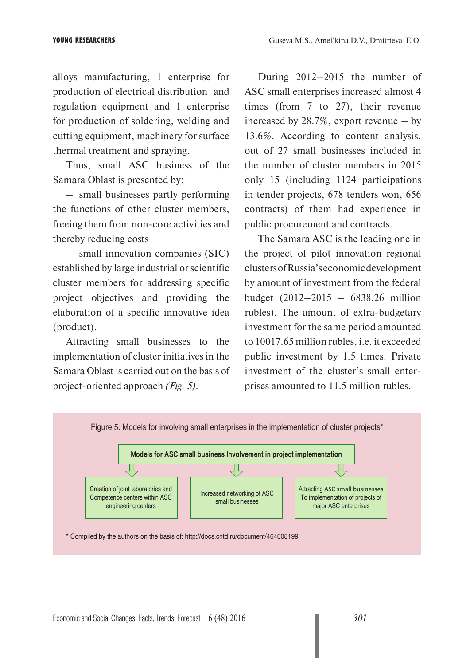alloys manufacturing, 1 enterprise for production of electrical distribution and regulation equipment and 1 enterprise for production of soldering, welding and cutting equipment, machinery for surface thermal treatment and spraying.

Thus, small ASC business of the Samara Oblast is presented by:

– small businesses partly performing the functions of other cluster members, freeing them from non-core activities and thereby reducing costs

– small innovation companies (SIC) established by large industrial or scientific cluster members for addressing specific project objectives and providing the elaboration of a specific innovative idea (product).

Attracting small businesses to the implementation of cluster initiatives in the Samara Oblast is carried out on the basis of project-oriented approach *(Fig. 5).*

During 2012–2015 the number of ASC small enterprises increased almost 4 times (from 7 to 27), their revenue increased by 28.7%, export revenue – by 13.6%. According to content analysis, out of 27 small businesses included in the number of cluster members in 2015 only 15 (including 1124 participations in tender projects, 678 tenders won, 656 contracts) of them had experience in public procurement and contracts.

The Samara ASC is the leading one in the project of pilot innovation regional clusters of Russia's economic development by amount of investment from the federal budget (2012–2015 – 6838.26 million rubles). The amount of extra-budgetary investment for the same period amounted to 10017.65 million rubles, *i.e.* it exceeded public investment by 1.5 times. Private investment of the cluster's small enterprises amounted to 11.5 million rubles.

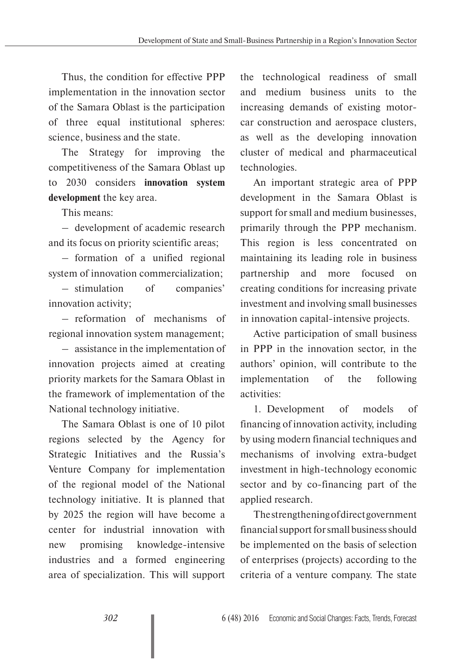Thus, the condition for effective PPP implementation in the innovation sector of the Samara Oblast is the participation of three equal institutional spheres: science, business and the state.

The Strategy for improving the competitiveness of the Samara Oblast up to 2030 considers **innovation system development** the key area.

This means:

– development of academic research and its focus on priority scientific areas;

– formation of a unified regional system of innovation commercialization;

– stimulation of companies' innovation activity;

– reformation of mechanisms of regional innovation system management;

– assistance in the implementation of innovation projects aimed at creating priority markets for the Samara Oblast in the framework of implementation of the National technology initiative.

The Samara Oblast is one of 10 pilot regions selected by the Agency for Strategic Initiatives and the Russia's Venture Company for implementation of the regional model of the National technology initiative. It is planned that by 2025 the region will have become a center for industrial innovation with new promising knowledge-intensive industries and a formed engineering area of specialization. This will support

the technological readiness of small and medium business units to the increasing demands of existing motorcar construction and aerospace clusters, as well as the developing innovation cluster of medical and pharmaceutical technologies.

An important strategic area of PPP development in the Samara Oblast is support for small and medium businesses, primarily through the PPP mechanism. This region is less concentrated on maintaining its leading role in business partnership and more focused on creating conditions for increasing private investment and involving small businesses in innovation capital-intensive projects.

Active participation of small business in PPP in the innovation sector, in the authors' opinion, will contribute to the implementation of the following activities:

1. Development of models of financing of innovation activity, including by using modern financial techniques and mechanisms of involving extra-budget investment in high-technology economic sector and by co-financing part of the applied research.

The strengthening of direct government financial support for small business should be implemented on the basis of selection of enterprises (projects) according to the criteria of a venture company. The state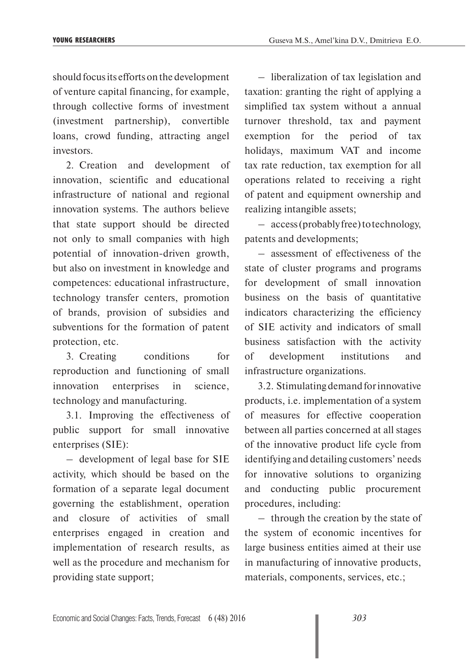should focus its efforts on the development of venture capital financing, for example, through collective forms of investment (investment partnership), convertible loans, crowd funding, attracting angel investors.

2. Creation and development of innovation, scientific and educational infrastructure of national and regional innovation systems. The authors believe that state support should be directed not only to small companies with high potential of innovation-driven growth, but also on investment in knowledge and competences: educational infrastructure, technology transfer centers, promotion of brands, provision of subsidies and subventions for the formation of patent protection, etc.

3. Creating conditions for reproduction and functioning of small innovation enterprises in science, technology and manufacturing.

3.1. Improving the effectiveness of public support for small innovative enterprises (SIE):

– development of legal base for SIE activity, which should be based on the formation of a separate legal document governing the establishment, operation and closure of activities of small enterprises engaged in creation and implementation of research results, as well as the procedure and mechanism for providing state support;

– liberalization of tax legislation and taxation: granting the right of applying a simplified tax system without a annual turnover threshold, tax and payment exemption for the period of tax holidays, maximum VAT and income tax rate reduction, tax exemption for all operations related to receiving a right of patent and equipment ownership and realizing intangible assets;

– access (probably free) to technology, patents and developments;

– assessment of effectiveness of the state of cluster programs and programs for development of small innovation business on the basis of quantitative indicators characterizing the efficiency of SIE activity and indicators of small business satisfaction with the activity of development institutions and infrastructure organizations.

3.2. Stimulating demand for innovative products, i.e. implementation of a system of measures for effective cooperation between all parties concerned at all stages of the innovative product life cycle from identifying and detailing customers' needs for innovative solutions to organizing and conducting public procurement procedures, including:

– through the creation by the state of the system of economic incentives for large business entities aimed at their use in manufacturing of innovative products, materials, components, services, etc.;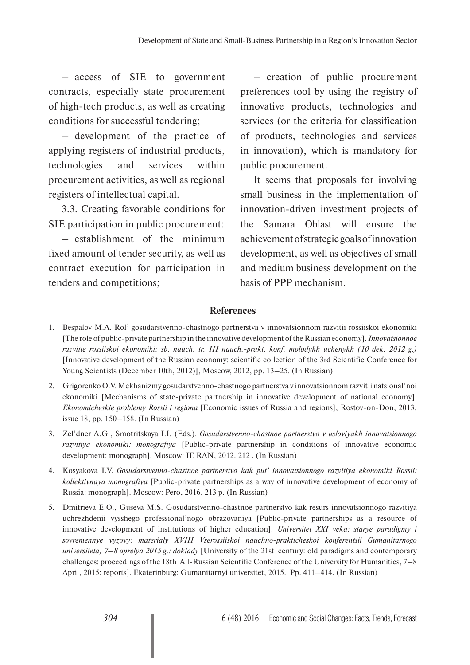– access of SIE to government contracts, especially state procurement of high-tech products, as well as creating conditions for successful tendering;

– development of the practice of applying registers of industrial products, technologies and services within procurement activities, as well as regional registers of intellectual capital.

3.3. Creating favorable conditions for SIE participation in public procurement:

– establishment of the minimum fixed amount of tender security, as well as contract execution for participation in tenders and competitions;

– creation of public procurement preferences tool by using the registry of innovative products, technologies and services (or the criteria for classification of products, technologies and services in innovation), which is mandatory for public procurement.

It seems that proposals for involving small business in the implementation of innovation-driven investment projects of the Samara Oblast will ensure the achievement of strategic goals of innovation development, as well as objectives of small and medium business development on the basis of PPP mechanism.

## **References**

- 1. Bespalov M.A. Rol' gosudarstvenno-chastnogo partnerstva v innovatsionnom razvitii rossiiskoi ekonomiki [The role of public-private partnership in the innovative development of the Russian economy]. *Innovatsionnoe razvitie rossiiskoi ekonomiki: sb. nauch. tr. III nauch.-prakt. konf. molodykh uchenykh (10 dek. 2012 g.)* [Innovative development of the Russian economy: scientific collection of the 3rd Scientific Conference for Young Scientists (December 10th, 2012)], Moscow, 2012, pp. 13–25. (In Russian)
- 2. Grigorenko O.V. Mekhanizmy gosudarstvenno-chastnogo partnerstva v innovatsionnom razvitii natsional'noi ekonomiki [Mechanisms of state-private partnership in innovative development of national economy]. *Ekonomicheskie problemy Rossii i regiona* [Economic issues of Russia and regions], Rostov-on-Don, 2013, issue 18, pp. 150–158. (In Russian)
- 3. Zel'dner A.G., Smotritskaya I.I. (Eds.). *Gosudarstvenno-chastnoe partnerstvo v usloviyakh innovatsionnogo razvitiya ekonomiki: monografiya* [Public-private partnership in conditions of innovative economic development: monograph]. Moscow: IE RAN, 2012. 212 . (In Russian)
- 4. Kosyakova I.V. *Gosudarstvenno-chastnoe partnerstvo kak put' innovatsionnogo razvitiya ekonomiki Rossii: kollektivnaya monografiya* [Public-private partnerships as a way of innovative development of economy of Russia: monograph]. Moscow: Pero, 2016. 213 p. (In Russian)
- 5. Dmitrieva E.O., Guseva M.S. Gosudarstvenno-chastnoe partnerstvo kak resurs innovatsionnogo razvitiya uchrezhdenii vysshego professional'nogo obrazovaniya [Public-private partnerships as a resource of innovative development of institutions of higher education]. *Universitet XXI veka: starye paradigmy i sovremennye vyzovy: materialy XVIII Vserossiiskoi nauchno-prakticheskoi konferentsii Gumanitarnogo universiteta, 7–8 aprelya 2015 g.: doklady* [University of the 21st century: old paradigms and contemporary challenges: proceedings of the 18th All-Russian Scientific Conference of the University for Humanities, 7–8 April, 2015: reports]. Ekaterinburg: Gumanitarnyi universitet, 2015. Pp. 411–414. (In Russian)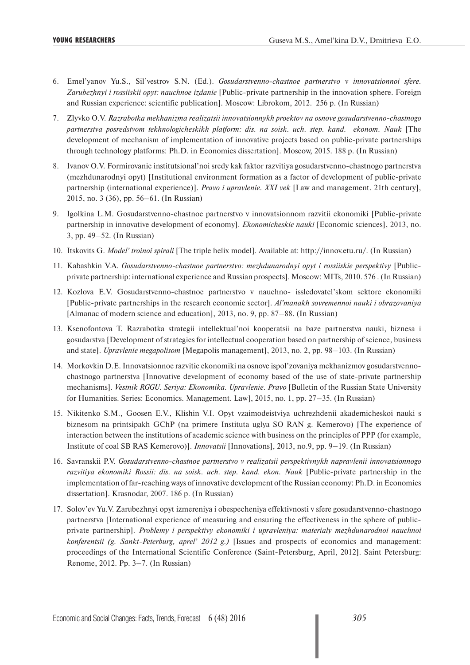- 6. Emel'yanov Yu.S., Sil'vestrov S.N. (Ed.). *Gosudarstvenno-chastnoe partnerstvo v innovatsionnoi sfere. Zarubezhnyi i rossiiskii opyt: nauchnoe izdanie* [Public-private partnership in the innovation sphere. Foreign and Russian experience: scientific publication]. Moscow: Librokom, 2012. 256 p. (In Russian)
- 7. Zlyvko O.V. *Razrabotka mekhanizma realizatsii innovatsionnykh proektov na osnove gosudarstvenno-chastnogo partnerstva posredstvom tekhnologicheskikh platform: dis. na soisk. uch. step. kand. ekonom. Nauk* [The development of mechanism of implementation of innovative projects based on public-private partnerships through technology platforms: Ph.D. in Economics dissertation]. Moscow, 2015. 188 p. (In Russian)
- 8. Ivanov O.V. Formirovanie institutsional'noi sredy kak faktor razvitiya gosudarstvenno-chastnogo partnerstva (mezhdunarodnyi opyt) [Institutional environment formation as a factor of development of public-private partnership (international experience)]. *Pravo i upravlenie. XXI vek* [Law and management. 21th century], 2015, no. 3 (36), pp. 56–61. (In Russian)
- 9. Igolkina L.M. Gosudarstvenno-chastnoe partnerstvo v innovatsionnom razvitii ekonomiki [Public-private partnership in innovative development of economy]. *Ekonomicheskie nauki* [Economic sciences], 2013, no. 3, pp. 49–52. (In Russian)
- 10. Itskovits G. *Model' troinoi spirali* [The triple helix model]. Available at: http://innov.etu.ru/. (In Russian)
- 11. Kabashkin V.A. *Gosudarstvenno-chastnoe partnerstvo: mezhdunarodnyi opyt i rossiiskie perspektivy* [Publicprivate partnership: international experience and Russian prospects]. Moscow: MITs, 2010. 576 . (In Russian)
- 12. Kozlova E.V. Gosudarstvenno-chastnoe partnerstvo v nauchno- issledovatel'skom sektore ekonomiki [Public-private partnerships in the research economic sector]. *Al'manakh sovremennoi nauki i obrazovaniya* [Almanac of modern science and education], 2013, no. 9, pp. 87–88. (In Russian)
- 13. Ksenofontova T. Razrabotka strategii intellektual'noi kooperatsii na baze partnerstva nauki, biznesa i gosudarstva [Development of strategies for intellectual cooperation based on partnership of science, business and state]. *Upravlenie megapolisom* [Megapolis management], 2013, no. 2, pp. 98–103. (In Russian)
- 14. Morkovkin D.E. Innovatsionnoe razvitie ekonomiki na osnove ispol'zovaniya mekhanizmov gosudarstvennochastnogo partnerstva [Innovative development of economy based of the use of state-private partnership mechanisms]. *Vestnik RGGU. Seriya: Ekonomika. Upravlenie. Pravo* [Bulletin of the Russian State University for Humanities. Series: Economics. Management. Law], 2015, no. 1, pp. 27–35. (In Russian)
- 15. Nikitenko S.M., Goosen E.V., Klishin V.I. Opyt vzaimodeistviya uchrezhdenii akademicheskoi nauki s biznesom na printsipakh GChP (na primere Instituta uglya SO RAN g. Kemerovo) [The experience of interaction between the institutions of academic science with business on the principles of PPP (for example, Institute of coal SB RAS Kemerovo)]. *Innovatsii* [Innovations], 2013, no.9, pp. 9–19. (In Russian)
- 16. Savranskii P.V. *Gosudarstvenno-chastnoe partnerstvo v realizatsii perspektivnykh napravlenii innovatsionnogo razvitiya ekonomiki Rossii: dis. na soisk. uch. step. kand. ekon. Nauk* [Public-private partnership in the implementation of far-reaching ways of innovative development of the Russian economy: Ph.D. in Economics dissertation]. Krasnodar, 2007. 186 p. (In Russian)
- 17. Solov'ev Yu.V. Zarubezhnyi opyt izmereniya i obespecheniya effektivnosti v sfere gosudarstvenno-chastnogo partnerstva [International experience of measuring and ensuring the effectiveness in the sphere of publicprivate partnership]. *Problemy i perspektivy ekonomiki i upravleniya: materialy mezhdunarodnoi nauchnoi konferentsii (g. Sankt-Peterburg, aprel' 2012 g.)* [Issues and prospects of economics and management: proceedings of the International Scientific Conference (Saint-Petersburg, April, 2012]. Saint Petersburg: Renome, 2012. Pp. 3–7. (In Russian)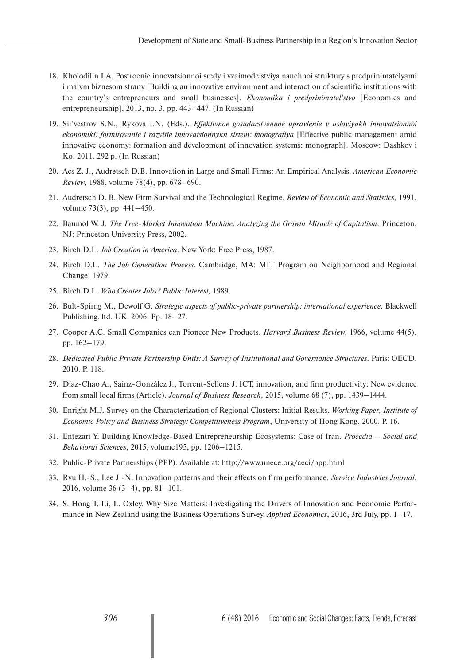- 18. Kholodilin I.A. Postroenie innovatsionnoi sredy i vzaimodeistviya nauchnoi struktury s predprinimatelyami i malym biznesom strany [Building an innovative environment and interaction of scientific institutions with the country's entrepreneurs and small businesses]. *Ekonomika i predprinimatel'stvo* [Economics and entrepreneurship], 2013, no. 3, pp. 443–447. (In Russian)
- 19. Sil'vestrov S.N., Rykova I.N. (Eds.). *Effektivnoe gosudarstvennoe upravlenie v usloviyakh innovatsionnoi ekonomiki: formirovanie i razvitie innovatsionnykh sistem: monografiya* [Effective public management amid innovative economy: formation and development of innovation systems: monograph]. Moscow: Dashkov i Ko, 2011. 292 p. (In Russian)
- 20. Acs Z. J., Audretsch D.B. Innovation in Large and Small Firms: An Empirical Analysis. *American Economic Review,* 1988, volume 78(4), pp. 678–690.
- 21. Audretsch D. B. New Firm Survival and the Technological Regime. *Review of Economic and Statistics,* 1991, volume 73(3), pp. 441–450.
- 22. Baumol W. J. *The Free-Market Innovation Machine: Analyzing the Growth Miracle of Capitalism*. Princeton, NJ: Princeton University Press, 2002.
- 23. Birch D.L. *Job Creation in America*. New York: Free Press, 1987.
- 24. Birch D.L. *The Job Generation Process*. Cambridge, MA: MIT Program on Neighborhood and Regional Change, 1979.
- 25. Birch D.L. *Who Creates Jobs? Public Interest,* 1989.
- 26. Bult-Spirng M., Dewolf G. *Strategic aspects of public-private partnership: international experience*. Blackwell Publishing. ltd. UK. 2006. Pp. 18–27.
- 27. Cooper A.C. Small Companies can Pioneer New Products. *Harvard Business Review,* 1966, volume 44(5), pp. 162–179.
- 28. *Dedicated Public Private Partnership Units: A Survey of Institutional and Governance Structures.* Paris: OECD. 2010. P. 118.
- 29. Díaz-Chao A., Sainz-González J., Torrent-Sellens J. ICT, innovation, and firm productivity: New evidence from small local firms (Article). *Journal of Business Research,* 2015, volume 68 (7), pp. 1439–1444.
- 30. Enright M.J. Survey on the Characterization of Regional Clusters: Initial Results. *Working Paper, Institute of Economic Policy and Business Strategy: Competitiveness Program*, University of Hong Kong, 2000. P. 16.
- 31. Entezari Y. Building Knowledge-Based Entrepreneurship Ecosystems: Case of Iran. *Procedia Social and Behavioral Sciences*, 2015, volume195, pp. 1206–1215.
- 32. Public-Private Partnerships (PPP). Available at: http://www.unece.org/ceci/ppp.html
- 33. Ryu H.-S., Lee J.-N. Innovation patterns and their effects on firm performance. *Service Industries Journal*, 2016, volume 36 (3–4), pp. 81–101.
- 34. S. Hong T. Li, L. Oxley. Why Size Matters: Investigating the Drivers of Innovation and Economic Performance in New Zealand using the Business Operations Survey. *Applied Economics*, 2016, 3rd July, pp. 1–17.